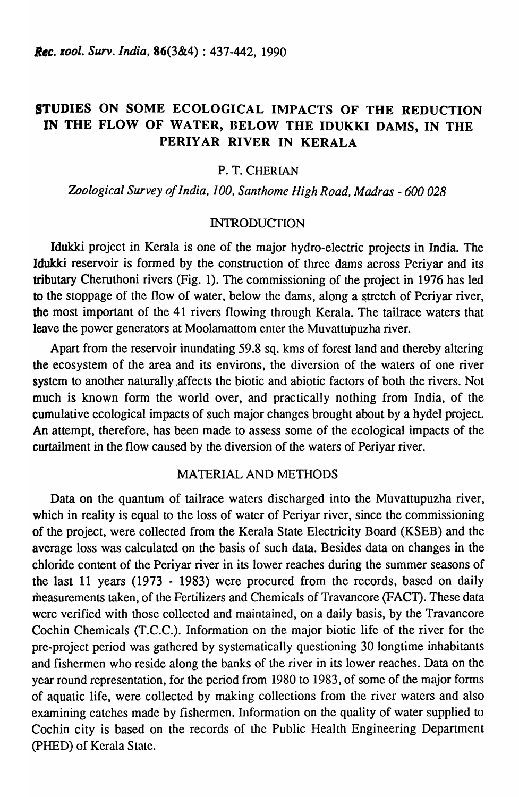# STUDIES ON SOME ECOLOGICAL IMPACTS OF THE REDUCTION IN THE FLOW OF WATER, BELOW THE IDUKKI DAMS, IN THE PERIYAR RIVER IN KERALA

### P. T. CHERIAN

*Zoological Survey of India, 100, Santhome Iligh Road, Madras* - *600 028* 

### INTRODUCTION

Idukki project in Kerala is one of the major hydro-electric projects in India. The Idukki reservoir is formed by the construction of three dams across Periyar and its tributary Cheruthoni rivers (Fig. 1). The commissioning of the project in 1976 has led to the stoppage of the flow of water, below the dams, along a stretch of Periyar river, the most important of the 41 rivers flowing through Kerala. The tailrace waters that leave the power generators at Moolamattom cnter the Muvattupuzha river.

Apart from the reservoir inundating 59.8 sq. kms of forest land and thereby altering the ecosystem of the area and its environs, the diversion of the waters of one river system to another naturally ,affects the biotic and abiotic factors of both the rivers. Not much is known form the world over, and practically nothing from India, of the cumulative ecological impacts of such major changes brought about by a hyde! project. An attempt, therefore, has been made to assess some of the ecological impacts of the curtailment in the flow caused by the diversion of the waters of Periyar river.

### MATERIAL AND METHODS

Data on the quantum of tailrace waters discharged into the Muvattupuzha river, which in reality is equal to the loss of water of Periyar river, since the commissioning of the project, were collected from the Kerala State Electricity Board (KSEB) and the average loss was calculated on the basis of such data. Besides data on changes in the chloride content of the Periyar river in its lower reaches during the summer seasons of the last 11 years (1973 - 1983) were procured from the records, based on daily measurements taken, of the Fertilizers and Chemicals of Travancore (FACT). These data were verified with those collccted and maintained, on a daily basis, by the Travancore Cochin Chemicals (T.C.C.). Information on the major biotic life of the river for the pre-project period was gathered by systematically questioning 30 longtime inhabitants and fishermen who reside along the banks of the river in its lower reaches. Data on the year round representation, for the period from 1980 to 1983, of some of the major forms of aquatic life, were collected by making collections from the river waters and also examining catches made by fishermen. Information on the quality of water supplied to Cochin city is based on the records of the Public Health Engineering Department (PHED) of Kerala Statc.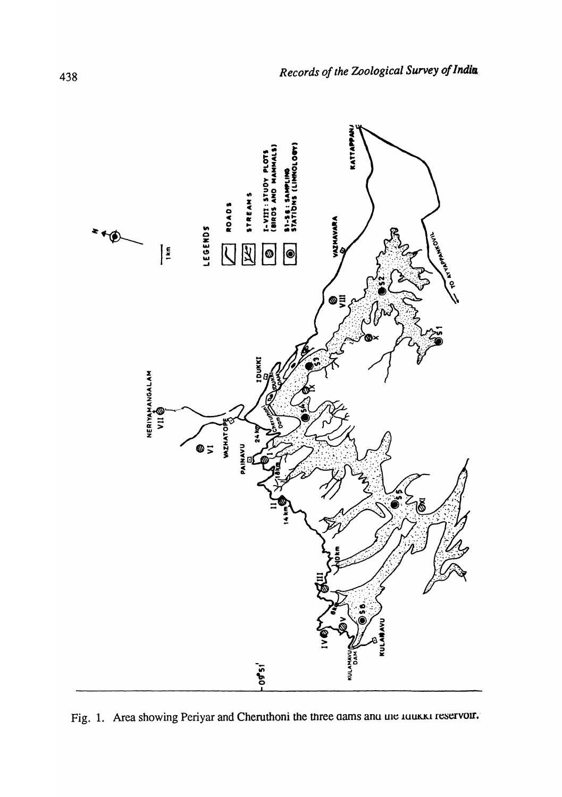

Fig. 1. Area showing Periyar and Cheruthoni the three dams and the touckst reservoir.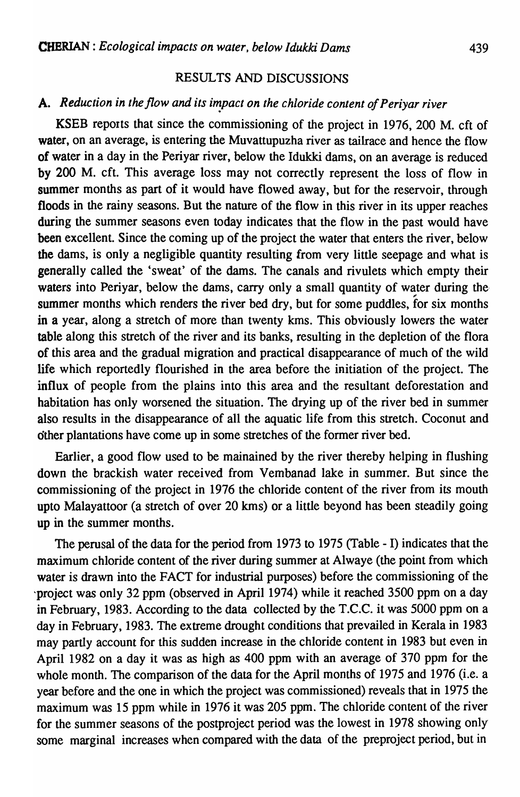#### RESULTS AND DISCUSSIONS

### A. *Reduction in the flow and its impact on the chloride content of Periyar river*

KSEB reports that since the commissioning of the project in 1976, 200 M. cft of water, on an average, is entering the Muvattupuzha river as tailrace and hence the flow of water in a day in the Periyar river, below the Idukki dams, on an average is reduced by 200 M. eft. This average loss may not correctly represent the loss of flow in summer months as part of it would have flowed away, but for the reservoir, through floods in the rainy seasons. But the nature of the flow in this river in its upper reaches during the summer seasons even today indicates that the flow in the past would have been excellent. Since the coming up of the project the water that enters the river, below the dams, is only a negligible quantity resulting from very little seepage and what is generally called the 'sweat' of the dams. The canals and rivulets which empty their waters into Periyar, below the dams, carry only a small quantity of water during the summer months which renders the river bed dry, but for some puddles, for six months in a year, along a stretch of more than twenty kms. This obviously lowers the water table along this stretch of the river and its banks, resulting in the depletion of the flora of this area and the gradual migration and practical disappearance of much of the wild life which reportedly flourished in the area before the initiation of the project. The influx of people from the plains into this area and the resultant deforestation and habitation has only worsened the situation. The drying up of the river bed in summer also results in the disappearance of all the aquatic life from this stretch. Coconut and other plantations have corne up in some stretches of the former river bed.

Earlier, a good flow used to be mainained by the river thereby helping in flushing down the brackish water received from Vembanad lake in summer. But since the commissioning of the project in 1976 the chloride content of the river from its mouth upto Malayattoor (a stretch of over 20 kms) or a little beyond has been steadily going up in the summer months.

The perusal of the data for the period from 1973 to 1975 (Table - I) indicates that the maximum chloride content of the river during summer at Alwaye (the point from which water is drawn into the FACT for industrial purposes) before the commissioning of the 'project was only 32 ppm (observed in April 1974) while it reached 3500 ppm on a day in February, 1983. According to the data collected by the T.C.C. it was 5000 ppm on a day in February, 1983. The extreme drought conditions that prevailed in Kerala in 1983 may partIy account for this sudden increase in the chloride content in 1983 but even in April 1982 on a day it was as high as 400 ppm with an average of 370 ppm for the whole month. The comparison of the data for the April months of 1975 and 1976 (i.e. a year before and the one in which the project was commissioned) reveals that in 1975 the maximum was 15 ppm while in 1976 it was 205 ppm. The chloride content of the river for the summer seasons of the postproject period was the lowest in 1978 showing only some marginal increases when compared with the data of the preproject period, but in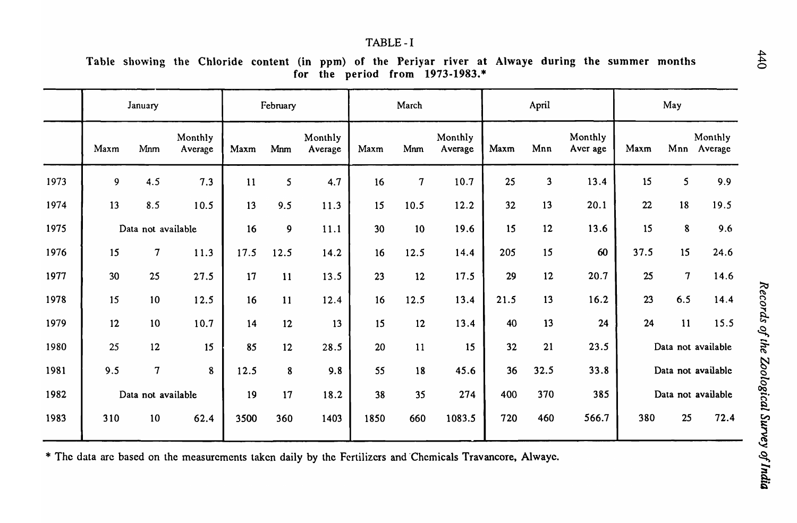#### TABLE-I

Table showing the Chloride content (in ppm) of the Periyar river at Ahvaye during the summer months for the period from 1973-1983.\*

|      | January            |                     |                    | February |                  |                    | March |                          |                    | April |              |                     | May                |                |                        |
|------|--------------------|---------------------|--------------------|----------|------------------|--------------------|-------|--------------------------|--------------------|-------|--------------|---------------------|--------------------|----------------|------------------------|
|      | Maxm               | Mnm                 | Monthly<br>Average | Maxm     | Mnm              | Monthly<br>Average | Maxm  | Mnm                      | Monthly<br>Average | Maxm  | Mnn          | Monthly<br>Aver age | Maxm               |                | Monthly<br>Mnn Average |
| 1973 | 9                  | 4.5                 | 7.3                | 11       | 5                | 4.7                | 16    | $\overline{\mathcal{L}}$ | 10.7               | 25    | $\mathbf{3}$ | 13.4                | 15                 | 5              | 9.9                    |
| 1974 | 13                 | 8.5                 | 10.5               | 13       | 9.5              | 11.3               | 15    | 10.5                     | 12.2               | 32    | 13           | 20.1                | 22                 | 18             | 19.5                   |
| 1975 | Data not available |                     |                    | 16       | $\boldsymbol{9}$ | 11.1               | 30    | 10                       | 19.6               | 15    | 12           | 13.6                | 15                 | 8              | 9.6                    |
| 1976 | 15                 | $\boldsymbol{7}$    | 11.3               | 17.5     | 12.5             | 14.2               | 16    | 12.5                     | 14.4               | 205   | 15           | 60                  | 37.5               | 15             | 24.6                   |
| 1977 | 30                 | 25                  | 27.5               | 17       | 11               | 13.5               | 23    | 12                       | 17.5               | 29    | 12           | 20.7                | 25                 | $\overline{7}$ | 14.6                   |
| 1978 | 15                 | 10                  | 12.5               | 16       | 11               | 12.4               | 16    | 12.5                     | 13.4               | 21.5  | 13           | 16.2                | 23                 | 6.5            | 14.4                   |
| 1979 | 12                 | 10                  | 10.7               | 14       | 12               | 13                 | 15    | 12                       | 13.4               | 40    | 13           | 24                  | 24                 | 11             | 15.5                   |
| 1980 | 25                 | 12                  | 15                 | 85       | 12               | 28.5               | 20    | 11                       | 15                 | 32    | 21           | 23.5                | Data not available |                |                        |
| 1981 | 9.5                | $\boldsymbol{\tau}$ | 8                  | 12.5     | 8                | 9.8                | 55    | 18                       | 45.6               | 36    | 32.5         | 33.8                | Data not available |                |                        |
| 1982 | Data not available |                     |                    | 19       | 17               | 18.2               | 38    | 35                       | 274                | 400   | 370          | 385                 | Data not available |                |                        |
| 1983 | 310                | 10                  | 62.4               | 3500     | 360              | 1403               | 1850  | 660                      | 1083.5             | 720   | 460          | 566.7               | 380                | 25             | 72.4                   |

\* The data are based on the measurements taken daily by the Fertilizers and Chemicals Travancore, Alwaye.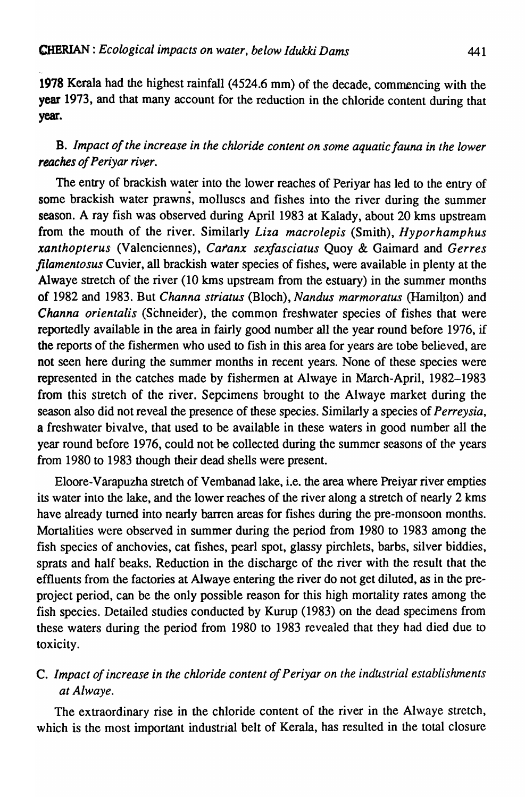1978 Kerala had the highest rainfall (4524.6 mm) of the decade, commencing with the year 1973, and that many account for the reduction in the chloride content during that year.

## B. *Impact of the increase in the chloride content on some aquatic fauna in the lower reaches of Periyar river.*

The entry of brackish water into the lower reaches of Periyar has led to the entry of some brackish water prawns, molluscs and fishes into the river during the summer season. A ray fish was observed during April 1983 at Kalady, about 20 kms upstream from the mouth of the river. Similarly *Liza macroiepis* (Smith), *Hyporhamphus xanthopterus* (Valenciennes), *Catanx sexfasciatus* Quoy & Gaimard and *Gerres filamentosus* Cuvier, all brackish water species of fishes, were available in plenty at the Alwaye stretch of the river  $(10 \text{ km})$  upstream from the estuary) in the summer months of 1982 and 1983. But *Channa striatus* (Bloch), *Nandus marmoratus* (Hamilton) and *Channa orientalis* (Schneider), the common freshwater species of fishes that were reportedly available in the area in fairly good number all the year round before 1976, if the reports of the fishermen who used to fish in this area for years are tobe believed, are not seen here during the summer months in recent years. None of these species were represented in the catches made by fishermen at Alwaye in March-April, 1982-1983 from this stretch of the river. Sepcimens brought to the Alwaye market during the season also did not reveal the presence of these species. Similarly a species of *Perreysia,*  a freshwater bivalve, that used to be available in these waters in good number all the year round before 1976, could not he collected during the summer seasons of the years from 1980 to 1983 though their dead shells were present.

Eloore-V arapuzha stretch of Vembanad lake, i.e. the area where Preiyar river empties its water into the lake, and the lower reaches of the river along a stretch of nearly 2 kms have already turned into nearly barren areas for fishes during the pre-monsoon months. Mortalities were observed in summer during the period from 1980 to 1983 among the fish species of anchovies, cat fishes, pearl spot, glassy pirchlets, barbs, silver biddies, sprats and half beaks. Reduction in the discharge of the river with the result that the effluents from the factories at Alwaye entering the river do not get diluted, as in the preproject period, can be the only possible reason for this high mortality rates among the fish species. Detailed studies conducted by Kurup (1983) on the dead specimens from these waters during the period from 1980 to 1983 revealed that they had died due to toxicity.

## c. *Impact of increase in the chloride content of Periyar on the indUstrial establishments at Alwaye.*

The extraordinary rise in the chloride content of the river in the Alwaye stretch, which is the most important industrial belt of Kerala, has resulted in the total closure